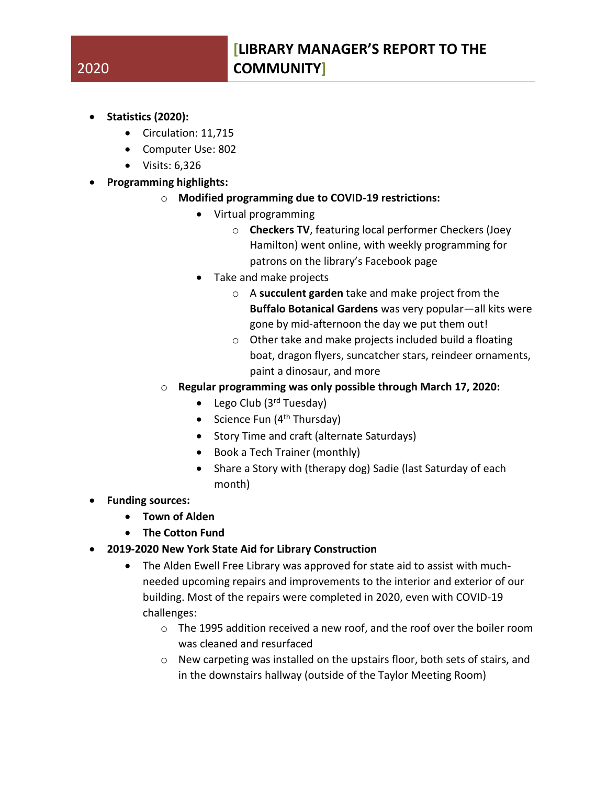- **Statistics (2020):**
	- Circulation: 11,715
	- Computer Use: 802
	- Visits: 6,326
- **Programming highlights:**
	- o **Modified programming due to COVID-19 restrictions:**
		- Virtual programming
			- o **Checkers TV**, featuring local performer Checkers (Joey Hamilton) went online, with weekly programming for patrons on the library's Facebook page
		- Take and make projects
			- o A **succulent garden** take and make project from the **Buffalo Botanical Gardens** was very popular—all kits were gone by mid-afternoon the day we put them out!
			- o Other take and make projects included build a floating boat, dragon flyers, suncatcher stars, reindeer ornaments, paint a dinosaur, and more
	- o **Regular programming was only possible through March 17, 2020:**
		- Lego Club  $(3<sup>rd</sup> Tuesday)$
		- Science Fun  $(4<sup>th</sup> Thursday)$
		- Story Time and craft (alternate Saturdays)
		- Book a Tech Trainer (monthly)
		- Share a Story with (therapy dog) Sadie (last Saturday of each month)
- **Funding sources:**
	- **Town of Alden**
	- **The Cotton Fund**
- **2019-2020 New York State Aid for Library Construction**
	- The Alden Ewell Free Library was approved for state aid to assist with muchneeded upcoming repairs and improvements to the interior and exterior of our building. Most of the repairs were completed in 2020, even with COVID-19 challenges:
		- $\circ$  The 1995 addition received a new roof, and the roof over the boiler room was cleaned and resurfaced
		- o New carpeting was installed on the upstairs floor, both sets of stairs, and in the downstairs hallway (outside of the Taylor Meeting Room)

## 2020